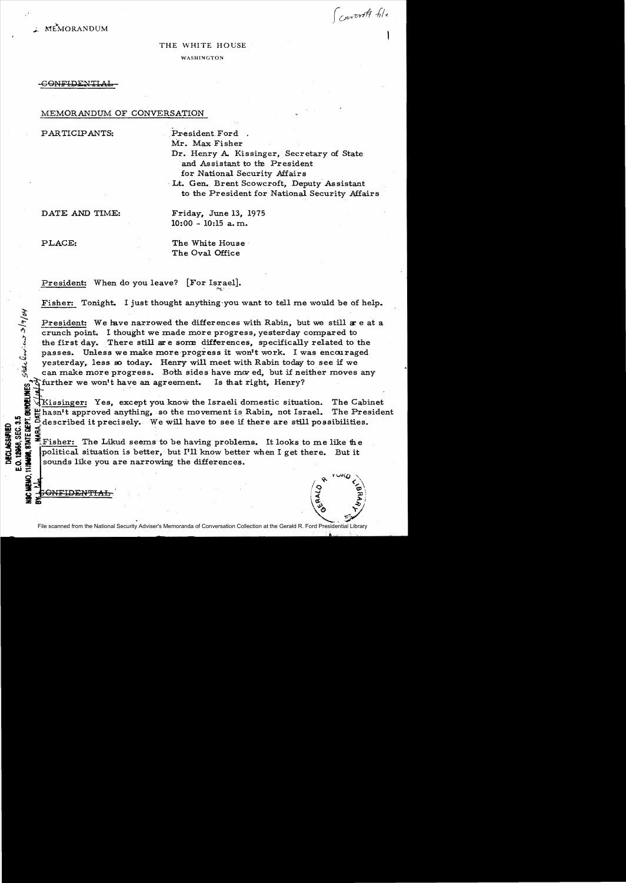Convert file

## THE WHITE HOUSE

WASHINGTON

### -GONFIDENTIAL

## MEMORANDUM OF CONVERSATION

PARTICIPANTS: President. Ford

Mr. Max Fisher

Dr. Henry A. Kissinger, Secretary of State and Assistant to the President for National Security Affairs

Lt. Gen. Brent Scowcroft, Deputy Assistant to the President for National Security Affairs

<del>NFIDENTIAL</del>

DATE AND TIME: Friday, June 13, 1975 10:00 - 10:15 a. m.

ho/.

E.O. 12968, SEC. 3.5

PLACE: The White House The Oval Office

President: When do you leave? [For Israel].

Fisher: Tonight. I just thought anything-you want to tell me would be of help.

President: We have narrowed the differences with Rabin, but we still a e at a <sup>~</sup>crunch point. I thought we made more progress, yesterday compared to the first day. There still are some differences, specifically related to the passes. Unless we make more progress it won't work. I was encouraged yesterday, less so today. Henry will meet with Rabin today to see if we can make more progress. Both sides have moved, but if neither moves any

complete that is that right, Henry?<br>  $\frac{d^2y}{dx^2}$ <br>  $\frac{d^2y}{dx^2}$ <br>  $\frac{d^2y}{dx^2}$ <br>  $\frac{d^2y}{dx^2}$  hasn't approved anything, so the movement is Rabin, not Israeli Kissinger: Yes, except you know the Israeli domestic situation. The Cabinet  $\mu$  hasn<sup>1</sup>t approved anything, so the movement is Rabin, not Israel. The President  $\Xi$  여러 주의 이 사람들은 어디에 대해 있어요.

Solution of the cisely. We will have to see if there are still possibilities.<br>
Solution is the liked seems to be having problems. It looks to me like the<br>
Solution is better, but I'll know better when I get there. But it<br> Fisher: The Likud seems to be having problems. It looks to me like the political situation is better, but I'll know better when I get there. But it sounds like you are narrowing the differences.

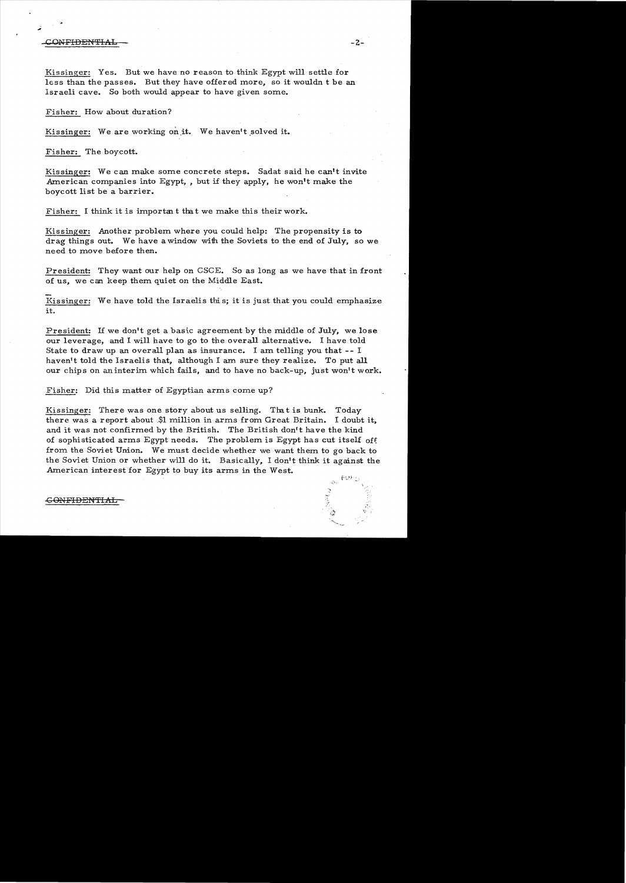### $\begin{array}{ccc} \text{ONFIDENTIAL} & - \end{array}$

Kissinger: Yes. But we have no reason to think Egypt will settle for less than the passes. But they have offered more, so it wouldn t be an Israeli cave. So both would appear to have given some.

Fisher: How about duration?

Kissinger: We are working on it. We haven't solved it.

Fisher: The boycott.

Kissinger: We can make some concrete steps. Sadat said he can't invite American companies into Egypt, , but if they apply, he won't make the boycott list be a barrier.

Fisher: I think it is important that we make this their work.

Kissinger: Another problem where you could help: The propensity is to drag things out. We have a window with the Soviets to the end of July, so we need to move before then.

President: They want our help on CSCE. So as long as we have that in front of us, we c an keep them quiet on the Middle East.

Kissinger: We have told the Israelis this; it is just that you could emphasize it.

President: If we don't get a basic agreement by the middle of July, we lose our leverage, and I will have to go to the overall alternative. I have told State to draw up an overall plan as insurance. I am telling you that **--** I haven't told the Israelis that, although I am sure they realize. To put all our chips on an interim which fails, and to have no back-up, just won't work.

Fisher: Did this matter of Egyptian arms come up?

Kissinger: There was one story about us selling. That is bunk. Today there was a report about.\$l million in arms from Great Britain. I doubt it, and it was not confirmed by the British. The British don't have the kind of sophisticated arms Egypt needs. The problem is Egypt has cut itself off from the Soviet Union. We must decide whether we want them to go back to the Soviet Union or whether will do it. Basically, I don't think it against the American interest for Egypt to buy its arms in the West.

-<del>GONFIDENTIA</del>

 $\lambda$ 

f,.,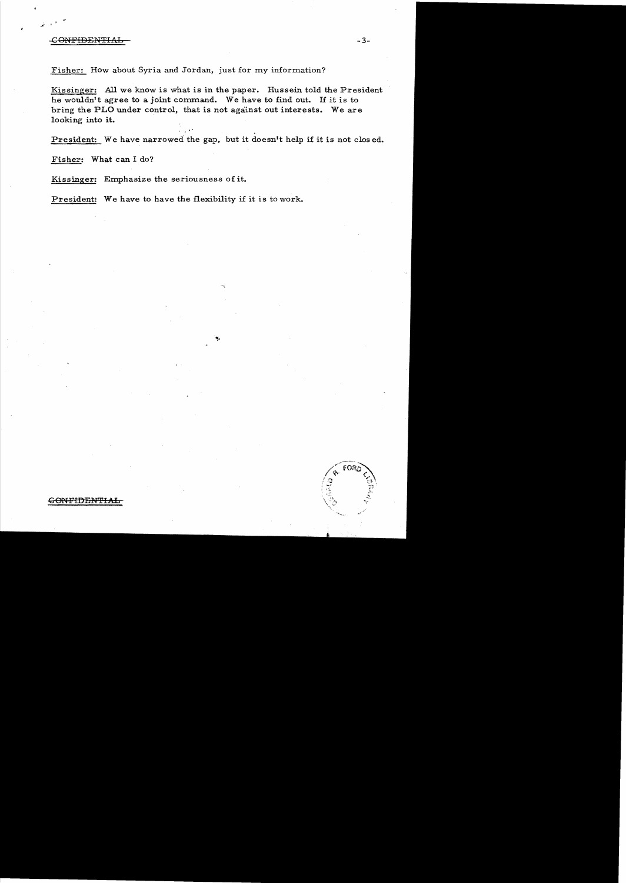# CONFIDENTIAL - 3-

Fisher: How about Syria and Jordan, just for my information?

Kissinger: All we know is what is in the paper. Hussein told the President he wouldn't agree to a joint command. We have to find out. If it is to bring the PLO under control, that is not against out interests. We are looking into it.

President: We have narrowed the gap, but it doesn't help if it is not clos ed.

Fisher: What can I do?

Kissinger: Emphasize the seriousness of it.

President: We have to have the flexibility if it is to work.

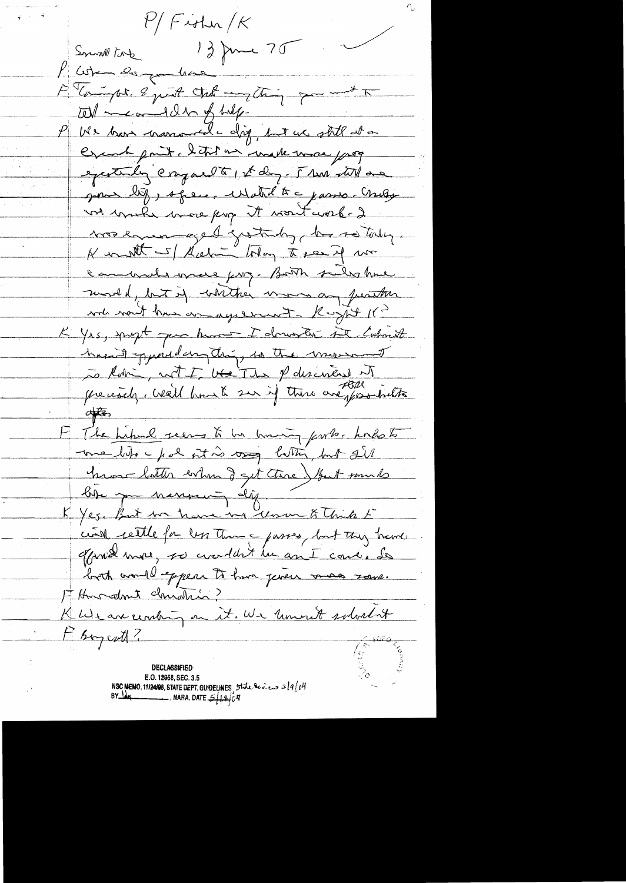$f'/F$ ishn/ $K$ 12 June 70 Smin Mont When des you have F Compt. 8 just the angeling for and T  $\omega$  meand dry of help. US ber marconde dig, but we still at a Crank point. I this are unalle wave page executing cryparett 1st day. I see till are gion by, special what to c james child vot muke more prop it wont work. I soon enver eget groterly, he so today. K untt - / Sieh - They to see if un eamount ince for Book substine month, but if whither more on purton wh nont has a agreement - Rught 11 -K Yrs, proft que hunt I donnette se comment hasn't puredampting, so the morning to Robin, with the The P desired of <u>often</u> The hiber reens to be humaning parts. Ands to me like for it is was litter, but sill humo batter when I get tree ) But some to bise par nannering dig. K Yes. But we have ing work think E civil rettle for less than a passes, but this trance. offront more, so crowlent in an I care. So both vould expert to have penses vous rome. Fitheradmit christin? K We are centing on it. We known solved at F Boycath! **DECLASSIFIED** E.O. 12958, SEC. 3.5 NSC MEMO, 11/24/98, STATE DEPT. GUIDELINES, State Rev.  $2J = 319/04$ BY JAH  $\overline{\phantom{0}}$ , NARA. DATE  $\mathcal{L}$   $\mu$  4  $\mu$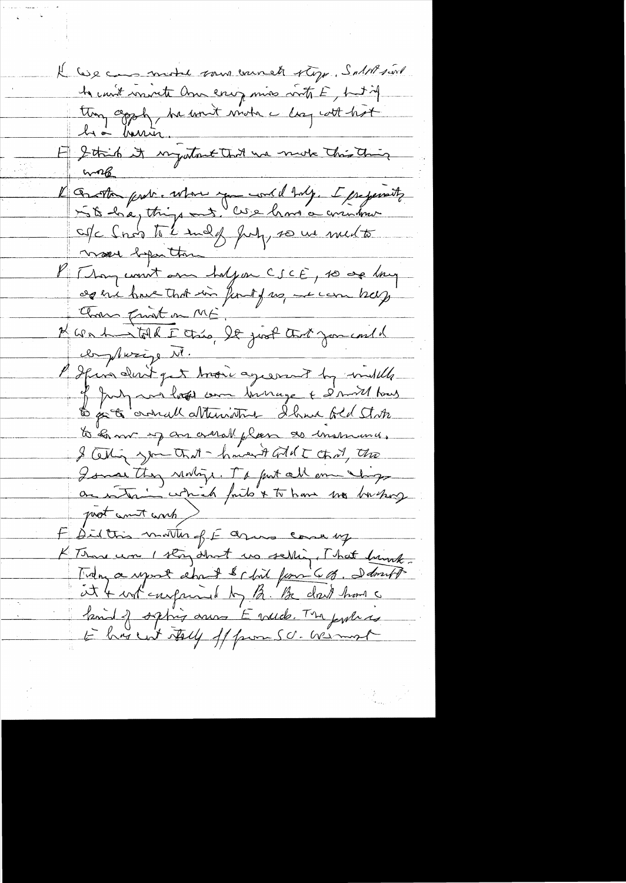Il les caus model vous enunet rège. Saltésaire E Strik it injutant that we more this thing  $m_{6}$ l'Esta prob. When you could balg. I prejent of cho to endy July 20 we med to mour before then P [ Jan count an haljon CSCE, 10 de lang Chose front on ME, N We de Tolk I très, le just tout jou could complexize Nl. I spinadent get trois agesomet by indelle of July we have come businesse & simmed hows to pet consult attenisting I have fel State to som up an armal plan so moment. I Celling you that - haven't Gold I that, the I small they realize. It fut all one ships on interior which faits & to have me bushop prot count comb ) F Did this matter of E agins come up K Those was 1 story short was selling, That brink. Trang a report about & chil formi 6 %. I don't at 4 informand by 12. Be don't have a family sphing anno Evilde. The pulled to his cut tolly of from SC. We must